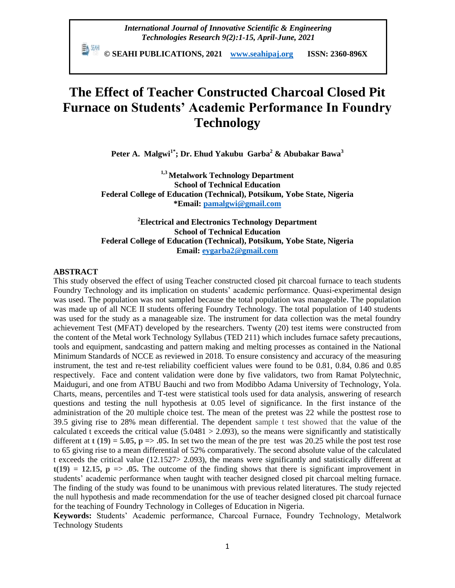*International Journal of Innovative Scientific & Engineering Technologies Research 9(2):1-15, April-June, 2021*

 **© SEAHI PUBLICATIONS, 2021 [www.seahipaj.org](http://www.seahipaj.org/) ISSN: 2360-896X**

# **The Effect of Teacher Constructed Charcoal Closed Pit Furnace on Students' Academic Performance In Foundry Technology**

**Peter A. Malgwi1\*; Dr. Ehud Yakubu Garba<sup>2</sup> & Abubakar Bawa<sup>3</sup>**

**1,3 Metalwork Technology Department School of Technical Education Federal College of Education (Technical), Potsikum, Yobe State, Nigeria \*Email[: pamalgwi@gmail.com](mailto:pamalgwi@gmail.com)**

**<sup>2</sup>Electrical and Electronics Technology Department School of Technical Education Federal College of Education (Technical), Potsikum, Yobe State, Nigeria Email: [eygarba2@gmail.com](mailto:eygarba2@gmail.com)**

#### **ABSTRACT**

This study observed the effect of using Teacher constructed closed pit charcoal furnace to teach students Foundry Technology and its implication on students' academic performance. Quasi-experimental design was used. The population was not sampled because the total population was manageable. The population was made up of all NCE II students offering Foundry Technology. The total population of 140 students was used for the study as a manageable size. The instrument for data collection was the metal foundry achievement Test (MFAT) developed by the researchers. Twenty (20) test items were constructed from the content of the Metal work Technology Syllabus (TED 211) which includes furnace safety precautions, tools and equipment, sandcasting and pattern making and melting processes as contained in the National Minimum Standards of NCCE as reviewed in 2018. To ensure consistency and accuracy of the measuring instrument, the test and re-test reliability coefficient values were found to be 0.81, 0.84, 0.86 and 0.85 respectively. Face and content validation were done by five validators, two from Ramat Polytechnic, Maiduguri, and one from ATBU Bauchi and two from Modibbo Adama University of Technology, Yola. Charts, means, percentiles and T-test were statistical tools used for data analysis, answering of research questions and testing the null hypothesis at 0.05 level of significance. In the first instance of the administration of the 20 multiple choice test. The mean of the pretest was 22 while the posttest rose to 39.5 giving rise to 28% mean differential. The dependent sample t test showed that the value of the calculated t exceeds the critical value  $(5.0481 > 2.093)$ , so the means were significantly and statistically different at  $t(19) = 5.05$ ,  $p = 0.05$ . In set two the mean of the pre test was 20.25 while the post test rose to 65 giving rise to a mean differential of 52% comparatively. The second absolute value of the calculated t exceeds the critical value (12.1527> 2.093), the means were significantly and statistically different at  $t(19) = 12.15$ ,  $p \Rightarrow .05$ . The outcome of the finding shows that there is significant improvement in students" academic performance when taught with teacher designed closed pit charcoal melting furnace. The finding of the study was found to be unanimous with previous related literatures. The study rejected the null hypothesis and made recommendation for the use of teacher designed closed pit charcoal furnace for the teaching of Foundry Technology in Colleges of Education in Nigeria.

**Keywords:** Students" Academic performance, Charcoal Furnace, Foundry Technology, Metalwork Technology Students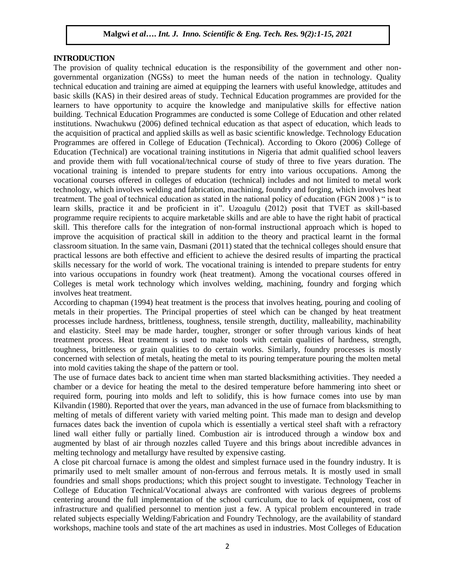#### **INTRODUCTION**

The provision of quality technical education is the responsibility of the government and other nongovernmental organization (NGSs) to meet the human needs of the nation in technology. Quality technical education and training are aimed at equipping the learners with useful knowledge, attitudes and basic skills (KAS) in their desired areas of study. Technical Education programmes are provided for the learners to have opportunity to acquire the knowledge and manipulative skills for effective nation building. Technical Education Programmes are conducted is some College of Education and other related institutions. Nwachukwu (2006) defined technical education as that aspect of education, which leads to the acquisition of practical and applied skills as well as basic scientific knowledge. Technology Education Programmes are offered in College of Education (Technical). According to Okoro (2006) College of Education (Technical) are vocational training institutions in Nigeria that admit qualified school leavers and provide them with full vocational/technical course of study of three to five years duration. The vocational training is intended to prepare students for entry into various occupations. Among the vocational courses offered in colleges of education (technical) includes and not limited to metal work technology, which involves welding and fabrication, machining, foundry and forging, which involves heat treatment. The goal of technical education as stated in the national policy of education (FGN 2008 ) " is to learn skills, practice it and be proficient in it". Uzoagulu (2012) posit that TVET as skill-based programme require recipients to acquire marketable skills and are able to have the right habit of practical skill. This therefore calls for the integration of non-formal instructional approach which is hoped to improve the acquisition of practical skill in addition to the theory and practical learnt in the formal classroom situation. In the same vain, Dasmani (2011) stated that the technical colleges should ensure that practical lessons are both effective and efficient to achieve the desired results of imparting the practical skills necessary for the world of work. The vocational training is intended to prepare students for entry into various occupations in foundry work (heat treatment). Among the vocational courses offered in Colleges is metal work technology which involves welding, machining, foundry and forging which involves heat treatment.

According to chapman (1994) heat treatment is the process that involves heating, pouring and cooling of metals in their properties. The Principal properties of steel which can be changed by heat treatment processes include hardness, brittleness, toughness, tensile strength, ductility, malleability, machinability and elasticity. Steel may be made harder, tougher, stronger or softer through various kinds of heat treatment process. Heat treatment is used to make tools with certain qualities of hardness, strength, toughness, brittleness or grain qualities to do certain works. Similarly, foundry processes is mostly concerned with selection of metals, heating the metal to its pouring temperature pouring the molten metal into mold cavities taking the shape of the pattern or tool.

The use of furnace dates back to ancient time when man started blacksmithing activities. They needed a chamber or a device for heating the metal to the desired temperature before hammering into sheet or required form, pouring into molds and left to solidify, this is how furnace comes into use by man Kilvandin (1980). Reported that over the years, man advanced in the use of furnace from blacksmithing to melting of metals of different variety with varied melting point. This made man to design and develop furnaces dates back the invention of cupola which is essentially a vertical steel shaft with a refractory lined wall either fully or partially lined. Combustion air is introduced through a window box and augmented by blast of air through nozzles called Tuyere and this brings about incredible advances in melting technology and metallurgy have resulted by expensive casting.

A close pit charcoal furnace is among the oldest and simplest furnace used in the foundry industry. It is primarily used to melt smaller amount of non-ferrous and ferrous metals. It is mostly used in small foundries and small shops productions; which this project sought to investigate. Technology Teacher in College of Education Technical/Vocational always are confronted with various degrees of problems centering around the full implementation of the school curriculum, due to lack of equipment, cost of infrastructure and qualified personnel to mention just a few. A typical problem encountered in trade related subjects especially Welding/Fabrication and Foundry Technology, are the availability of standard workshops, machine tools and state of the art machines as used in industries. Most Colleges of Education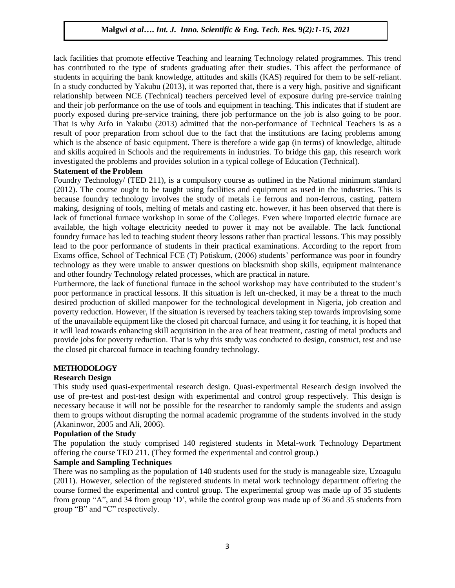lack facilities that promote effective Teaching and learning Technology related programmes. This trend has contributed to the type of students graduating after their studies. This affect the performance of students in acquiring the bank knowledge, attitudes and skills (KAS) required for them to be self-reliant. In a study conducted by Yakubu (2013), it was reported that, there is a very high, positive and significant relationship between NCE (Technical) teachers perceived level of exposure during pre-service training and their job performance on the use of tools and equipment in teaching. This indicates that if student are poorly exposed during pre-service training, there job performance on the job is also going to be poor. That is why Arfo in Yakubu (2013) admitted that the non-performance of Technical Teachers is as a result of poor preparation from school due to the fact that the institutions are facing problems among which is the absence of basic equipment. There is therefore a wide gap (in terms) of knowledge, altitude and skills acquired in Schools and the requirements in industries. To bridge this gap, this research work investigated the problems and provides solution in a typical college of Education (Technical).

# **Statement of the Problem**

Foundry Technology/ (TED 211), is a compulsory course as outlined in the National minimum standard (2012). The course ought to be taught using facilities and equipment as used in the industries. This is because foundry technology involves the study of metals i.e ferrous and non-ferrous, casting, pattern making, designing of tools, melting of metals and casting etc. however, it has been observed that there is lack of functional furnace workshop in some of the Colleges. Even where imported electric furnace are available, the high voltage electricity needed to power it may not be available. The lack functional foundry furnace has led to teaching student theory lessons rather than practical lessons. This may possibly lead to the poor performance of students in their practical examinations. According to the report from Exams office, School of Technical FCE (T) Potiskum, (2006) students" performance was poor in foundry technology as they were unable to answer questions on blacksmith shop skills, equipment maintenance and other foundry Technology related processes, which are practical in nature.

Furthermore, the lack of functional furnace in the school workshop may have contributed to the student"s poor performance in practical lessons. If this situation is left un-checked, it may be a threat to the much desired production of skilled manpower for the technological development in Nigeria, job creation and poverty reduction. However, if the situation is reversed by teachers taking step towards improvising some of the unavailable equipment like the closed pit charcoal furnace, and using it for teaching, it is hoped that it will lead towards enhancing skill acquisition in the area of heat treatment, casting of metal products and provide jobs for poverty reduction. That is why this study was conducted to design, construct, test and use the closed pit charcoal furnace in teaching foundry technology.

# **METHODOLOGY**

# **Research Design**

This study used quasi-experimental research design. Quasi-experimental Research design involved the use of pre-test and post-test design with experimental and control group respectively. This design is necessary because it will not be possible for the researcher to randomly sample the students and assign them to groups without disrupting the normal academic programme of the students involved in the study (Akaninwor, 2005 and Ali, 2006).

#### **Population of the Study**

The population the study comprised 140 registered students in Metal-work Technology Department offering the course TED 211. (They formed the experimental and control group.)

# **Sample and Sampling Techniques**

There was no sampling as the population of 140 students used for the study is manageable size, Uzoagulu (2011). However, selection of the registered students in metal work technology department offering the course formed the experimental and control group. The experimental group was made up of 35 students from group "A", and 34 from group "D", while the control group was made up of 36 and 35 students from group "B" and "C" respectively.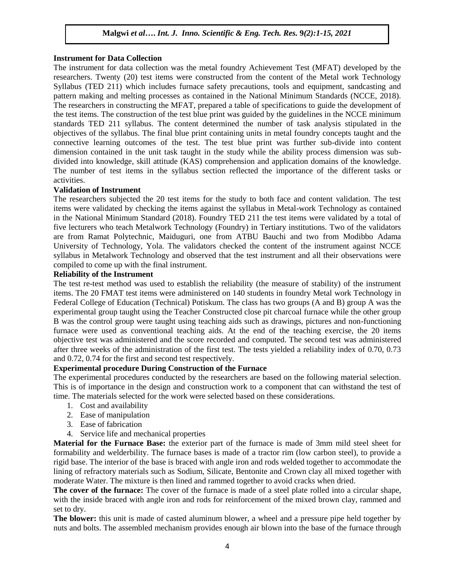#### **Instrument for Data Collection**

The instrument for data collection was the metal foundry Achievement Test (MFAT) developed by the researchers. Twenty (20) test items were constructed from the content of the Metal work Technology Syllabus (TED 211) which includes furnace safety precautions, tools and equipment, sandcasting and pattern making and melting processes as contained in the National Minimum Standards (NCCE, 2018). The researchers in constructing the MFAT, prepared a table of specifications to guide the development of the test items. The construction of the test blue print was guided by the guidelines in the NCCE minimum standards TED 211 syllabus. The content determined the number of task analysis stipulated in the objectives of the syllabus. The final blue print containing units in metal foundry concepts taught and the connective learning outcomes of the test. The test blue print was further sub-divide into content dimension contained in the unit task taught in the study while the ability process dimension was subdivided into knowledge, skill attitude (KAS) comprehension and application domains of the knowledge. The number of test items in the syllabus section reflected the importance of the different tasks or activities.

#### **Validation of Instrument**

The researchers subjected the 20 test items for the study to both face and content validation. The test items were validated by checking the items against the syllabus in Metal-work Technology as contained in the National Minimum Standard (2018). Foundry TED 211 the test items were validated by a total of five lecturers who teach Metalwork Technology (Foundry) in Tertiary institutions. Two of the validators are from Ramat Polytechnic, Maiduguri, one from ATBU Bauchi and two from Modibbo Adama University of Technology, Yola. The validators checked the content of the instrument against NCCE syllabus in Metalwork Technology and observed that the test instrument and all their observations were compiled to come up with the final instrument.

#### **Reliability of the Instrument**

The test re-test method was used to establish the reliability (the measure of stability) of the instrument items. The 20 FMAT test items were administered on 140 students in foundry Metal work Technology in Federal College of Education (Technical) Potiskum. The class has two groups (A and B) group A was the experimental group taught using the Teacher Constructed close pit charcoal furnace while the other group B was the control group were taught using teaching aids such as drawings, pictures and non-functioning furnace were used as conventional teaching aids. At the end of the teaching exercise, the 20 items objective test was administered and the score recorded and computed. The second test was administered after three weeks of the administration of the first test. The tests yielded a reliability index of 0.70, 0.73 and 0.72, 0.74 for the first and second test respectively.

# **Experimental procedure During Construction of the Furnace**

The experimental procedures conducted by the researchers are based on the following material selection. This is of importance in the design and construction work to a component that can withstand the test of time. The materials selected for the work were selected based on these considerations.

- 1. Cost and availability
- 2. Ease of manipulation
- 3. Ease of fabrication
- 4. Service life and mechanical properties

**Material for the Furnace Base:** the exterior part of the furnace is made of 3mm mild steel sheet for formability and welderbility. The furnace bases is made of a tractor rim (low carbon steel), to provide a rigid base. The interior of the base is braced with angle iron and rods welded together to accommodate the lining of refractory materials such as Sodium, Silicate, Bentonite and Crown clay all mixed together with moderate Water. The mixture is then lined and rammed together to avoid cracks when dried.

**The cover of the furnace:** The cover of the furnace is made of a steel plate rolled into a circular shape, with the inside braced with angle iron and rods for reinforcement of the mixed brown clay, rammed and set to dry.

**The blower:** this unit is made of casted aluminum blower, a wheel and a pressure pipe held together by nuts and bolts. The assembled mechanism provides enough air blown into the base of the furnace through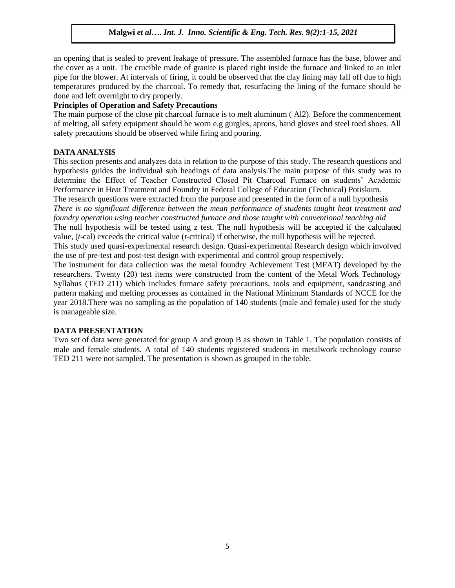an opening that is sealed to prevent leakage of pressure. The assembled furnace has the base, blower and the cover as a unit. The crucible made of granite is placed right inside the furnace and linked to an inlet pipe for the blower. At intervals of firing, it could be observed that the clay lining may fall off due to high temperatures produced by the charcoal. To remedy that, resurfacing the lining of the furnace should be done and left overnight to dry properly.

# **Principles of Operation and Safety Precautions**

The main purpose of the close pit charcoal furnace is to melt aluminum ( Al2). Before the commencement of melting, all safety equipment should be worn e.g gurgles, aprons, hand gloves and steel toed shoes. All safety precautions should be observed while firing and pouring.

#### **DATA ANALYSIS**

This section presents and analyzes data in relation to the purpose of this study. The research questions and hypothesis guides the individual sub headings of data analysis.The main purpose of this study was to determine the Effect of Teacher Constructed Closed Pit Charcoal Furnace on students" Academic Performance in Heat Treatment and Foundry in Federal College of Education (Technical) Potiskum.

The research questions were extracted from the purpose and presented in the form of a null hypothesis *There is no significant difference between the mean performance of students taught heat treatment and foundry operation using teacher constructed furnace and those taught with conventional teaching aid*

The null hypothesis will be tested using  $\zeta$  test. The null hypothesis will be accepted if the calculated value, (*t*-cal) exceeds the critical value (*t*-critical) if otherwise, the null hypothesis will be rejected.

This study used quasi-experimental research design. Quasi-experimental Research design which involved the use of pre-test and post-test design with experimental and control group respectively.

The instrument for data collection was the metal foundry Achievement Test (MFAT) developed by the researchers. Twenty (20) test items were constructed from the content of the Metal Work Technology Syllabus (TED 211) which includes furnace safety precautions, tools and equipment, sandcasting and pattern making and melting processes as contained in the National Minimum Standards of NCCE for the year 2018.There was no sampling as the population of 140 students (male and female) used for the study is manageable size.

# **DATA PRESENTATION**

Two set of data were generated for group A and group B as shown in Table 1. The population consists of male and female students. A total of 140 students registered students in metalwork technology course TED 211 were not sampled. The presentation is shown as grouped in the table.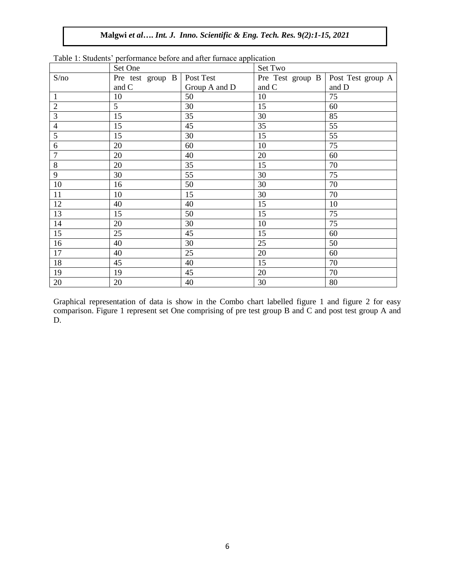| rable r. blauents performance before and after ratiface approation |                  |               |                  |                   |  |  |  |
|--------------------------------------------------------------------|------------------|---------------|------------------|-------------------|--|--|--|
|                                                                    | Set One          |               | Set Two          |                   |  |  |  |
| S/no                                                               | Pre test group B | Post Test     | Pre Test group B | Post Test group A |  |  |  |
|                                                                    | and C            | Group A and D | and C            | and D             |  |  |  |
| $\mathbf{1}$                                                       | 10               | 50            | 10               | 75                |  |  |  |
| $\overline{2}$                                                     | 5                | 30            | 15               | 60                |  |  |  |
| 3                                                                  | 15               | 35            | 30               | 85                |  |  |  |
| $\overline{4}$                                                     | 15               | 45            | 35               | 55                |  |  |  |
| 5                                                                  | 15               | 30            | 15               | 55                |  |  |  |
| 6                                                                  | 20               | 60            | 10               | 75                |  |  |  |
| $\tau$                                                             | 20               | 40            | 20               | 60                |  |  |  |
| $8\,$                                                              | 20               | 35            | 15               | 70                |  |  |  |
| 9                                                                  | 30               | 55            | 30               | 75                |  |  |  |
| 10                                                                 | 16               | 50            | 30               | 70                |  |  |  |
| 11                                                                 | 10               | 15            | 30               | 70                |  |  |  |
| 12                                                                 | 40               | 40            | 15               | 10                |  |  |  |
| 13                                                                 | 15               | 50            | 15               | 75                |  |  |  |
| 14                                                                 | 20               | 30            | 10               | 75                |  |  |  |
| 15                                                                 | 25               | 45            | 15               | 60                |  |  |  |
| 16                                                                 | 40               | 30            | 25               | 50                |  |  |  |
| 17                                                                 | 40               | 25            | 20               | 60                |  |  |  |
| 18                                                                 | 45               | 40            | 15               | 70                |  |  |  |
| 19                                                                 | 19               | 45            | 20               | 70                |  |  |  |
| 20                                                                 | 20               | 40            | 30               | 80                |  |  |  |

Table 1: Students" performance before and after furnace application

Graphical representation of data is show in the Combo chart labelled figure 1 and figure 2 for easy comparison. Figure 1 represent set One comprising of pre test group B and C and post test group A and D.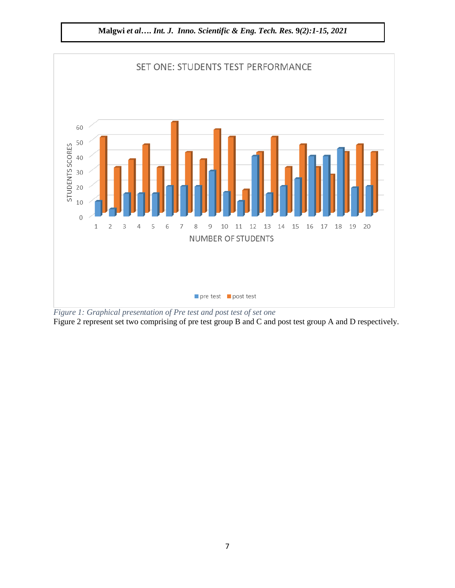

**Malgwi** *et al***….** *Int. J. Inno. Scientific & Eng. Tech. Res.* **9***(2):1-15, 2021*

*Figure 1: Graphical presentation of Pre test and post test of set one* Figure 2 represent set two comprising of pre test group B and C and post test group A and D respectively.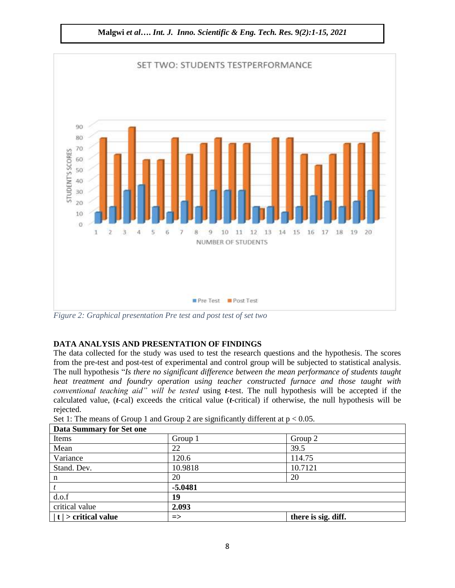

*Figure 2: Graphical presentation Pre test and post test of set two*

# **DATA ANALYSIS AND PRESENTATION OF FINDINGS**

The data collected for the study was used to test the research questions and the hypothesis. The scores from the pre-test and post-test of experimental and control group will be subjected to statistical analysis. The null hypothesis "*Is there no significant difference between the mean performance of students taught heat treatment and foundry operation using teacher constructed furnace and those taught with conventional teaching aid" will be tested* using *t*-test. The null hypothesis will be accepted if the calculated value, (*t*-cal) exceeds the critical value (*t*-critical) if otherwise, the null hypothesis will be rejected.

| <b>Data Summary for Set one</b> |               |                     |  |  |  |
|---------------------------------|---------------|---------------------|--|--|--|
| Items                           | Group 1       | Group 2             |  |  |  |
| Mean                            | 22            | 39.5                |  |  |  |
| Variance                        | 120.6         | 114.75              |  |  |  |
| Stand. Dev.                     | 10.9818       | 10.7121             |  |  |  |
| n                               | 20            | 20                  |  |  |  |
|                                 | $-5.0481$     |                     |  |  |  |
| d.o.f                           | 19            |                     |  |  |  |
| critical value                  | 2.093         |                     |  |  |  |
| $ t $ > critical value          | $\Rightarrow$ | there is sig. diff. |  |  |  |

Set 1: The means of Group 1 and Group 2 are significantly different at  $p < 0.05$ .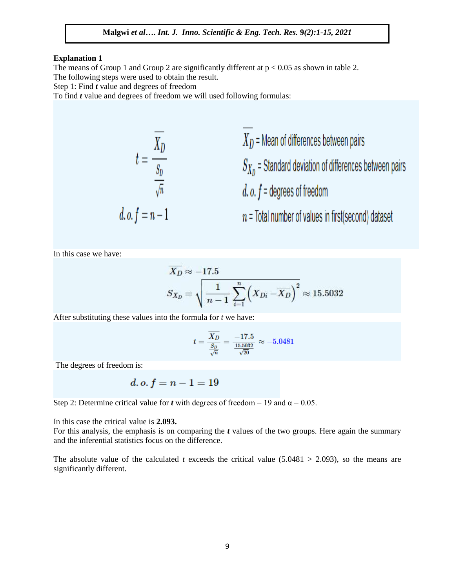#### **Explanation 1**

The means of Group 1 and Group 2 are significantly different at  $p < 0.05$  as shown in table 2. The following steps were used to obtain the result.

Step 1: Find *t* value and degrees of freedom

To find *t* value and degrees of freedom we will used following formulas:

$$
t = \frac{\overline{X_D}}{\frac{S_D}{\sqrt{n}}} \qquad \qquad \overline{X_D} = \text{Mean of differences between pairs}
$$
\n
$$
S_{X_D} = \text{Standard deviation of differences between pairs}
$$
\n
$$
d. o. f = n - 1
$$
\n
$$
n = \text{Total number of values in first(second) dataset}
$$

In this case we have:

$$
\overline{X_D} \approx -17.5
$$
\n
$$
S_{X_D} = \sqrt{\frac{1}{n-1} \sum_{i=1}^{n} \left( X_{Di} - \overline{X_D} \right)^2} \approx 15.5032
$$

After substituting these values into the formula for *t* we have:

$$
t = \frac{\overline{X_D}}{\frac{S_D}{\sqrt{n}}} = \frac{-17.5}{\frac{15.5032}{\sqrt{20}}} \approx -5.0481
$$

The degrees of freedom is:

$$
d.o.\, f=n-1=19
$$

Step 2: Determine critical value for *t* with degrees of freedom = 19 and  $\alpha$  = 0.05.

In this case the critical value is **2.093.**

For this analysis, the emphasis is on comparing the *t* values of the two groups. Here again the summary and the inferential statistics focus on the difference.

The absolute value of the calculated *t* exceeds the critical value  $(5.0481 > 2.093)$ , so the means are significantly different.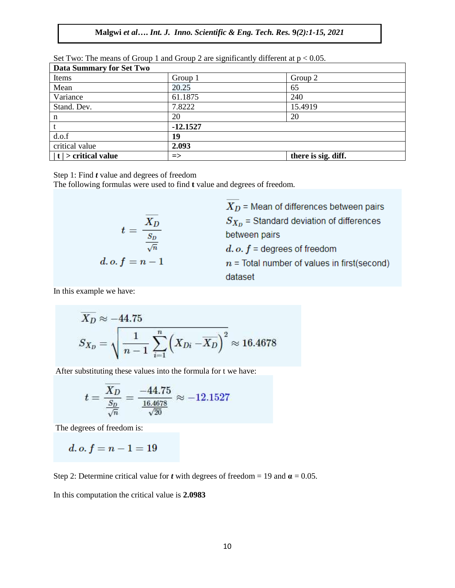| Data Summary for Set Two |               |                     |  |  |  |
|--------------------------|---------------|---------------------|--|--|--|
| Items                    | Group 1       | Group 2             |  |  |  |
| Mean                     | 20.25         | 65                  |  |  |  |
| Variance                 | 61.1875       | 240                 |  |  |  |
| Stand. Dev.              | 7.8222        | 15.4919             |  |  |  |
| n                        | 20            | 20                  |  |  |  |
|                          | $-12.1527$    |                     |  |  |  |
| d.o.f                    | 19            |                     |  |  |  |
| critical value           | 2.093         |                     |  |  |  |
| $ t $ > critical value   | $\Rightarrow$ | there is sig. diff. |  |  |  |

Set Two: The means of Group 1 and Group 2 are significantly different at  $p < 0.05$ .

Step 1: Find *t* value and degrees of freedom

The following formulas were used to find **t** value and degrees of freedom.

$$
t = \frac{\overline{X_D}}{\frac{S_D}{\sqrt{n}}}
$$
  

$$
d.o.f = n - 1
$$

 $X_D$  = Mean of differences between pairs  $S_{X_D}$  = Standard deviation of differences between pairs  $d. o. f =$  degrees of freedom  $n =$ Total number of values in first(second) dataset

In this example we have:

$$
\overline{X_D} \approx -44.75
$$
\n
$$
S_{X_D} = \sqrt{\frac{1}{n-1} \sum_{i=1}^n \left( X_{Di} - \overline{X_D} \right)^2} \approx 16.4678
$$

After substituting these values into the formula for t we have:

$$
t = \frac{\overline{X_D}}{\frac{S_D}{\sqrt{n}}} = \frac{-44.75}{\frac{16.4678}{\sqrt{20}}} \approx -12.1527
$$

The degrees of freedom is:

d. o.  $f = n - 1 = 19$ 

Step 2: Determine critical value for *t* with degrees of freedom = 19 and  $\alpha$  = 0.05.

In this computation the critical value is **2.0983**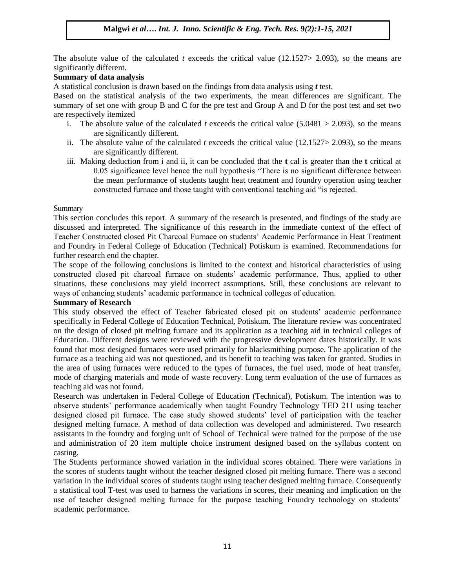The absolute value of the calculated *t* exceeds the critical value (12.1527> 2.093), so the means are significantly different.

# **Summary of data analysis**

A statistical conclusion is drawn based on the findings from data analysis using *t* test.

Based on the statistical analysis of the two experiments, the mean differences are significant. The summary of set one with group B and C for the pre test and Group A and D for the post test and set two are respectively itemized

- i. The absolute value of the calculated *t* exceeds the critical value (5.0481  $> 2.093$ ), so the means are significantly different.
- ii. The absolute value of the calculated  $t$  exceeds the critical value (12.1527> 2.093), so the means are significantly different.
- iii. Making deduction from i and ii, it can be concluded that the **t** cal is greater than the **t** critical at 0.05 significance level hence the null hypothesis "There is no significant difference between the mean performance of students taught heat treatment and foundry operation using teacher constructed furnace and those taught with conventional teaching aid "is rejected.

#### **Summary**

This section concludes this report. A summary of the research is presented, and findings of the study are discussed and interpreted. The significance of this research in the immediate context of the effect of Teacher Constructed closed Pit Charcoal Furnace on students" Academic Performance in Heat Treatment and Foundry in Federal College of Education (Technical) Potiskum is examined. Recommendations for further research end the chapter.

The scope of the following conclusions is limited to the context and historical characteristics of using constructed closed pit charcoal furnace on students" academic performance. Thus, applied to other situations, these conclusions may yield incorrect assumptions. Still, these conclusions are relevant to ways of enhancing students" academic performance in technical colleges of education.

# **Summary of Research**

This study observed the effect of Teacher fabricated closed pit on students' academic performance specifically in Federal College of Education Technical, Potiskum. The literature review was concentrated on the design of closed pit melting furnace and its application as a teaching aid in technical colleges of Education. Different designs were reviewed with the progressive development dates historically. It was found that most designed furnaces were used primarily for blacksmithing purpose. The application of the furnace as a teaching aid was not questioned, and its benefit to teaching was taken for granted. Studies in the area of using furnaces were reduced to the types of furnaces, the fuel used, mode of heat transfer, mode of charging materials and mode of waste recovery. Long term evaluation of the use of furnaces as teaching aid was not found.

Research was undertaken in Federal College of Education (Technical), Potiskum. The intention was to observe students" performance academically when taught Foundry Technology TED 211 using teacher designed closed pit furnace. The case study showed students" level of participation with the teacher designed melting furnace. A method of data collection was developed and administered. Two research assistants in the foundry and forging unit of School of Technical were trained for the purpose of the use and administration of 20 item multiple choice instrument designed based on the syllabus content on casting.

The Students performance showed variation in the individual scores obtained. There were variations in the scores of students taught without the teacher designed closed pit melting furnace. There was a second variation in the individual scores of students taught using teacher designed melting furnace. Consequently a statistical tool T-test was used to harness the variations in scores, their meaning and implication on the use of teacher designed melting furnace for the purpose teaching Foundry technology on students" academic performance.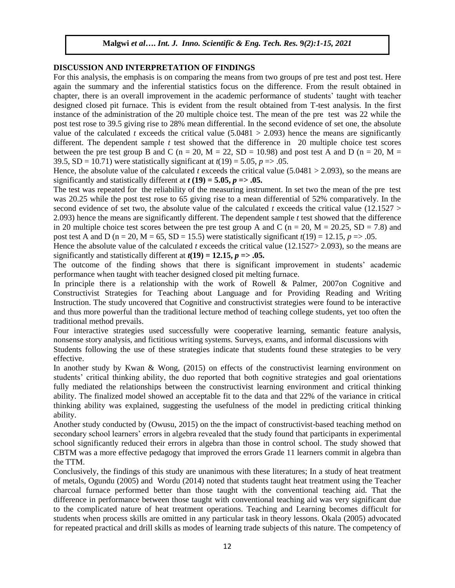# **DISCUSSION AND INTERPRETATION OF FINDINGS**

For this analysis, the emphasis is on comparing the means from two groups of pre test and post test. Here again the summary and the inferential statistics focus on the difference. From the result obtained in chapter, there is an overall improvement in the academic performance of students" taught with teacher designed closed pit furnace. This is evident from the result obtained from T-test analysis. In the first instance of the administration of the 20 multiple choice test. The mean of the pre test was 22 while the post test rose to 39.5 giving rise to 28% mean differential. In the second evidence of set one, the absolute value of the calculated *t* exceeds the critical value  $(5.0481 > 2.093)$  hence the means are significantly different. The dependent sample *t* test showed that the difference in 20 multiple choice test scores between the pre test group B and C ( $n = 20$ ,  $M = 22$ ,  $SD = 10.98$ ) and post test A and D ( $n = 20$ ,  $M =$ 39.5,  $SD = 10.71$ ) were statistically significant at  $t(19) = 5.05$ ,  $p = > .05$ .

Hence, the absolute value of the calculated *t* exceeds the critical value (5.0481 > 2.093), so the means are significantly and statistically different at  $t(19) = 5.05$ ,  $p = > .05$ .

The test was repeated for the reliability of the measuring instrument. In set two the mean of the pre test was 20.25 while the post test rose to 65 giving rise to a mean differential of 52% comparatively. In the second evidence of set two, the absolute value of the calculated  $t$  exceeds the critical value (12.1527  $>$ 2.093) hence the means are significantly different. The dependent sample *t* test showed that the difference in 20 multiple choice test scores between the pre test group A and C ( $n = 20$ ,  $M = 20.25$ ,  $SD = 7.8$ ) and post test A and D (n = 20, M = 65, SD = 15.5) were statistically significant  $t(19) = 12.15$ ,  $p = > .05$ .

Hence the absolute value of the calculated *t* exceeds the critical value (12.1527> 2.093), so the means are significantly and statistically different at  $t(19) = 12.15$ ,  $p = > .05$ .

The outcome of the finding shows that there is significant improvement in students" academic performance when taught with teacher designed closed pit melting furnace.

In principle there is a relationship with the work of Rowell & Palmer, 2007on Cognitive and Constructivist Strategies for Teaching about Language and for Providing Reading and Writing Instruction. The study uncovered that Cognitive and constructivist strategies were found to be interactive and thus more powerful than the traditional lecture method of teaching college students, yet too often the traditional method prevails.

Four interactive strategies used successfully were cooperative learning, semantic feature analysis, nonsense story analysis, and fictitious writing systems. Surveys, exams, and informal discussions with

Students following the use of these strategies indicate that students found these strategies to be very effective.

In another study by Kwan & Wong, (2015) on effects of the constructivist learning environment on students" critical thinking ability, the duo reported that both cognitive strategies and goal orientations fully mediated the relationships between the constructivist learning environment and critical thinking ability. The finalized model showed an acceptable fit to the data and that 22% of the variance in critical thinking ability was explained, suggesting the usefulness of the model in predicting critical thinking ability.

Another study conducted by (Owusu, 2015) on the the impact of constructivist-based teaching method on secondary school learners" errors in algebra revealed that the study found that participants in experimental school significantly reduced their errors in algebra than those in control school. The study showed that CBTM was a more effective pedagogy that improved the errors Grade 11 learners commit in algebra than the TTM.

Conclusively, the findings of this study are unanimous with these literatures; In a study of heat treatment of metals, Ogundu (2005) and Wordu (2014) noted that students taught heat treatment using the Teacher charcoal furnace performed better than those taught with the conventional teaching aid. That the difference in performance between those taught with conventional teaching aid was very significant due to the complicated nature of heat treatment operations. Teaching and Learning becomes difficult for students when process skills are omitted in any particular task in theory lessons. Okala (2005) advocated for repeated practical and drill skills as modes of learning trade subjects of this nature. The competency of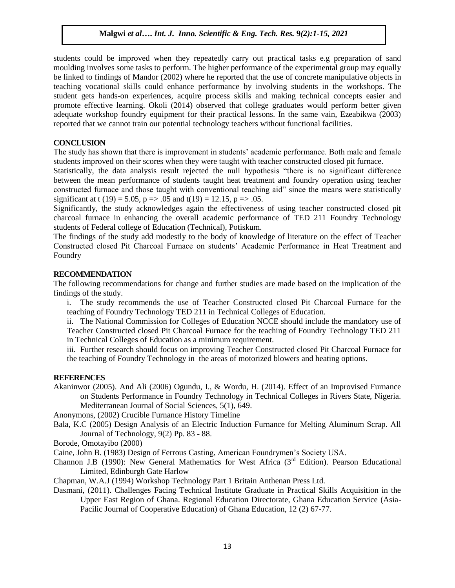students could be improved when they repeatedly carry out practical tasks e.g preparation of sand moulding involves some tasks to perform. The higher performance of the experimental group may equally be linked to findings of Mandor (2002) where he reported that the use of concrete manipulative objects in teaching vocational skills could enhance performance by involving students in the workshops. The student gets hands-on experiences, acquire process skills and making technical concepts easier and promote effective learning. Okoli (2014) observed that college graduates would perform better given adequate workshop foundry equipment for their practical lessons. In the same vain, Ezeabikwa (2003) reported that we cannot train our potential technology teachers without functional facilities.

#### **CONCLUSION**

The study has shown that there is improvement in students" academic performance. Both male and female students improved on their scores when they were taught with teacher constructed closed pit furnace.

Statistically, the data analysis result rejected the null hypothesis "there is no significant difference between the mean performance of students taught heat treatment and foundry operation using teacher constructed furnace and those taught with conventional teaching aid" since the means were statistically significant at t (19) = 5.05, p = > .05 and t(19) = 12.15, p = > .05.

Significantly, the study acknowledges again the effectiveness of using teacher constructed closed pit charcoal furnace in enhancing the overall academic performance of TED 211 Foundry Technology students of Federal college of Education (Technical), Potiskum.

The findings of the study add modestly to the body of knowledge of literature on the effect of Teacher Constructed closed Pit Charcoal Furnace on students" Academic Performance in Heat Treatment and Foundry

#### **RECOMMENDATION**

The following recommendations for change and further studies are made based on the implication of the findings of the study.

i. The study recommends the use of Teacher Constructed closed Pit Charcoal Furnace for the teaching of Foundry Technology TED 211 in Technical Colleges of Education.

ii. The National Commission for Colleges of Education NCCE should include the mandatory use of Teacher Constructed closed Pit Charcoal Furnace for the teaching of Foundry Technology TED 211 in Technical Colleges of Education as a minimum requirement.

iii. Further research should focus on improving Teacher Constructed closed Pit Charcoal Furnace for the teaching of Foundry Technology in the areas of motorized blowers and heating options.

#### **REFERENCES**

Akaninwor (2005). And Ali (2006) Ogundu, I., & Wordu, H. (2014). Effect of an Improvised Furnance on Students Performance in Foundry Technology in Technical Colleges in Rivers State, Nigeria. Mediterranean Journal of Social Sciences, 5(1), 649.

Anonymons, (2002) Crucible Furnance History Timeline

Bala, K.C (2005) Design Analysis of an Electric Induction Furnance for Melting Aluminum Scrap. All Journal of Technology, 9(2) Pp. 83 - 88.

Borode, Omotayibo (2000)

Caine, John B. (1983) Design of Ferrous Casting, American Foundrymen"s Society USA.

Channon J.B (1990): New General Mathematics for West Africa ( $3<sup>rd</sup>$  Edition). Pearson Educational Limited, Edinburgh Gate Harlow

Chapman, W.A.J (1994) Workshop Technology Part 1 Britain Anthenan Press Ltd.

Dasmani, (2011). Challenges Facing Technical Institute Graduate in Practical Skills Acquisition in the Upper East Region of Ghana. Regional Education Directorate, Ghana Education Service (Asia-Pacilic Journal of Cooperative Education) of Ghana Education, 12 (2) 67-77.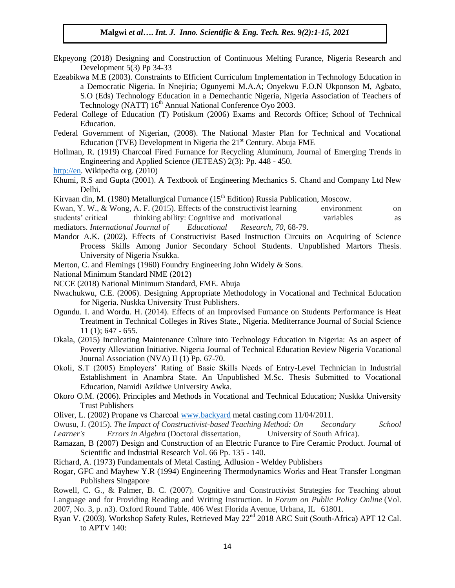- Ekpeyong (2018) Designing and Construction of Continuous Melting Furance, Nigeria Research and Development 5(3) Pp 34-33
- Ezeabikwa M.E (2003). Constraints to Efficient Curriculum Implementation in Technology Education in a Democratic Nigeria. In Nnejiria; Ogunyemi M.A.A; Onyekwu F.O.N Ukponson M, Agbato, S.O (Eds) Technology Education in a Demechantic Nigeria, Nigeria Association of Teachers of Technology (NATT) 16<sup>th</sup> Annual National Conference Oyo 2003.
- Federal College of Education (T) Potiskum (2006) Exams and Records Office; School of Technical Education.
- Federal Government of Nigerian, (2008). The National Master Plan for Technical and Vocational Education (TVE) Development in Nigeria the  $21<sup>st</sup>$  Century. Abuja FME
- Hollman, R. (1919) Charcoal Fired Furnance for Recycling Aluminum, Journal of Emerging Trends in Engineering and Applied Science (JETEAS) 2(3): Pp. 448 - 450.
- [http://en.](http://en/) Wikipedia org. (2010)
- Khumi, R.S and Gupta (2001). A Textbook of Engineering Mechanics S. Chand and Company Ltd New Delhi.
- Kirvaan din, M. (1980) Metallurgical Furnance ( $15<sup>th</sup>$  Edition) Russia Publication, Moscow.
- Kwan, Y. W., & Wong, A. F. (2015). Effects of the constructivist learning environment on students' critical thinking ability: Cognitive and motivational variables as as mediators. *International Journal of Educational Research*, *70*, 68-79.
- Mandor A.K. (2002). Effects of Constructivist Based Instruction Circuits on Acquiring of Science Process Skills Among Junior Secondary School Students. Unpublished Martors Thesis. University of Nigeria Nsukka.
- Merton, C. and Flemings (1960) Foundry Engineering John Widely & Sons.
- National Minimum Standard NME (2012)
- NCCE (2018) National Minimum Standard, FME. Abuja
- Nwachukwu, C.E. (2006). Designing Appropriate Methodology in Vocational and Technical Education for Nigeria. Nuskka University Trust Publishers.
- Ogundu. I. and Wordu. H. (2014). Effects of an Improvised Furnance on Students Performance is Heat Treatment in Technical Colleges in Rives State., Nigeria. Mediterrance Journal of Social Science 11 (1); 647 - 655.
- Okala, (2015) Inculcating Maintenance Culture into Technology Education in Nigeria: As an aspect of Poverty Alleviation Initiative. Nigeria Journal of Technical Education Review Nigeria Vocational Journal Association (NVA) II (1) Pp. 67-70.
- Okoli, S.T (2005) Employers" Rating of Basic Skills Needs of Entry-Level Technician in Industrial Establishment in Anambra State. An Unpublished M.Sc. Thesis Submitted to Vocational Education, Namidi Azikiwe University Awka.
- Okoro O.M. (2006). Principles and Methods in Vocational and Technical Education; Nuskka University Trust Publishers
- Oliver, L. (2002) Propane vs Charcoal [www.backyard](http://www.backyard/) metal casting.com 11/04/2011.

Owusu, J. (2015). *The Impact of Constructivist-based Teaching Method: On Secondary School Learner's Errors in Algebra* (Doctoral dissertation, University of South Africa).

- Ramazan, B (2007) Design and Construction of an Electric Furance to Fire Ceramic Product. Journal of Scientific and Industrial Research Vol. 66 Pp. 135 - 140.
- Richard, A. (1973) Fundamentals of Metal Casting, Adlusion Weldey Publishers
- Rogar, GFC and Mayhew Y.R (1994) Engineering Thermodynamics Works and Heat Transfer Longman Publishers Singapore
- Rowell, C. G., & Palmer, B. C. (2007). Cognitive and Constructivist Strategies for Teaching about Language and for Providing Reading and Writing Instruction. In *Forum on Public Policy Online* (Vol. 2007, No. 3, p. n3). Oxford Round Table. 406 West Florida Avenue, Urbana, IL 61801.
- Ryan V. (2003). Workshop Safety Rules, Retrieved May 22<sup>nd</sup> 2018 ARC Suit (South-Africa) APT 12 Cal. to APTV 140: